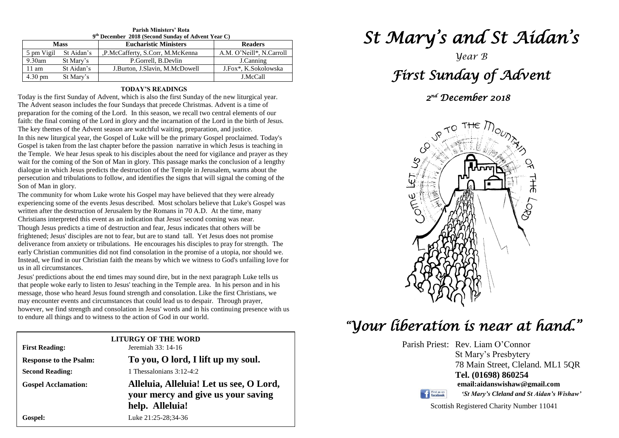| 9 <sup>th</sup> December 2018 (Second Sunday of Advent Year C) |            |                                  |                          |  |  |  |
|----------------------------------------------------------------|------------|----------------------------------|--------------------------|--|--|--|
| <b>Mass</b>                                                    |            | <b>Eucharistic Ministers</b>     | <b>Readers</b>           |  |  |  |
| 5 pm Vigil                                                     | St Aidan's | ,P.McCafferty, S.Corr, M.McKenna | A.M. O'Neill*, N.Carroll |  |  |  |
| $9.30$ am                                                      | St Mary's  | P.Gorrell, B.Devlin              | J.Canning                |  |  |  |
| $11 \text{ am}$                                                | St Aidan's | J.Burton, J.Slavin, M.McDowell   | J.Fox*, K.Sokolowska     |  |  |  |
| $4.30 \text{ pm}$                                              | St Mary's  |                                  | J.McCall                 |  |  |  |

**Parish Ministers' Rota**

#### **TODAY'S READINGS**

Today is the first Sunday of Advent, which is also the first Sunday of the new liturgical year. The Advent season includes the four Sundays that precede Christmas. Advent is a time of preparation for the coming of the Lord. In this season, we recall two central elements of our faith: the final coming of the Lord in glory and the incarnation of the Lord in the birth of Jesus. The key themes of the Advent season are watchful waiting, preparation, and justice.

In this new liturgical year, the Gospel of Luke will be the primary Gospel proclaimed. Today's Gospel is taken from the last chapter before the passion narrative in which Jesus is teaching in the Temple. We hear Jesus speak to his disciples about the need for vigilance and prayer as they wait for the coming of the Son of Man in glory. This passage marks the conclusion of a lengthy dialogue in which Jesus predicts the destruction of the Temple in Jerusalem, warns about the persecution and tribulations to follow, and identifies the signs that will signal the coming of the Son of Man in glory.

The community for whom Luke wrote his Gospel may have believed that they were already experiencing some of the events Jesus described. Most scholars believe that Luke's Gospel was written after the destruction of Jerusalem by the Romans in 70 A.D. At the time, many Christians interpreted this event as an indication that Jesus' second coming was near.

Though Jesus predicts a time of destruction and fear, Jesus indicates that others will be frightened; Jesus' disciples are not to fear, but are to stand tall. Yet Jesus does not pror early Christian communities did not find consolation in the promise of a utopia, nor should we.<br>Instead, we find in our Christian faith the means by which we witness to God's unfailing love for frightened; Jesus' disciples are not to fear, but are to stand tall. Yet Jesus does not promise deliverance from anxiety or tribulations. He encourages his disciples to pray for strength. The early Christian communities did not find consolation in the promise of a utopia, nor should we. us in all circumstances.

Jesus' predictions about the end times may sound dire, but in the next paragraph Luke tells us that people woke early to listen to Jesus' teaching in the Temple area. In his person and in his may encounter events and circumstances that could lead us to despair. Through prayer, however, we find strength and consolation in Jesus' words and in his continuing presenc Jesus' predictions about the end times may sound dire, but in the next paragraph Luke tells us message, those who heard Jesus found strength and consolation. Like the first Christians, we however, we find strength and consolation in Jesus' words and in his continuing presence with us to endure all things and to witness to the action of God in our world.

| LITURGY OF THE WORD<br>Jeremiah 33: 14-16<br><b>First Reading:</b> |                                         |  |  |  |
|--------------------------------------------------------------------|-----------------------------------------|--|--|--|
| <b>Response to the Psalm:</b>                                      | To you, O lord, I lift up my soul.      |  |  |  |
| <b>Second Reading:</b>                                             | 1 Thessalonians $3:12-4:2$              |  |  |  |
| <b>Gospel Acclamation:</b>                                         | Alleluia, Alleluia! Let us see, O Lord, |  |  |  |
|                                                                    | your mercy and give us your saving      |  |  |  |
|                                                                    | help. Alleluia!                         |  |  |  |
| <b>Gospel:</b>                                                     | Luke 21:25-28:34-36                     |  |  |  |

# *St Mary's and St Aidan's*

## *Year B*

#### *First Sunday of Advent*

#### *2 nd December 2018*



### *"Your liberation is near at hand."*

Parish Priest: Rev. Liam O'Connor St Mary's Presbytery 78 Main Street, Cleland. ML1 5QR **Tel. (01698) 860254 email:aidanswishaw@gmail.com**

Find us on

*'St Mary's Cleland and St Aidan's Wishaw'*

Scottish Registered Charity Number 11041